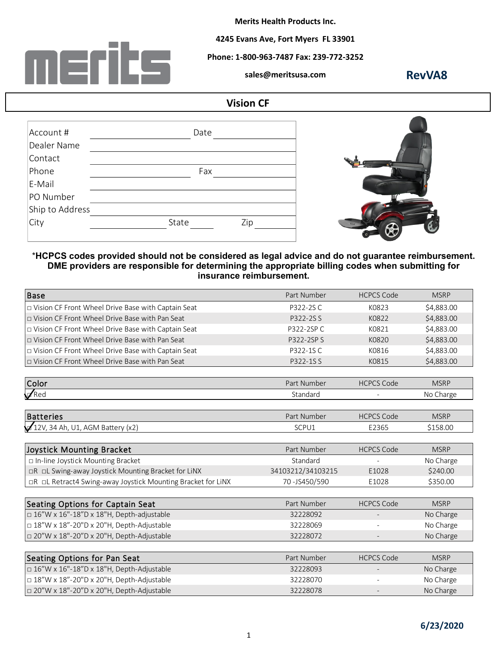

**Merits Health Products Inc.** 

**4245 Evans Ave, Fort Myers FL 33901**

**Phone: 1-800-963-7487 Fax: 239-772-3252**

**sales@meritsusa.com**

**RevVA8**

## **Vision CF**

| Account #       | Date         |  |
|-----------------|--------------|--|
| Dealer Name     |              |  |
| Contact         |              |  |
| Phone           | Fax          |  |
| E-Mail          |              |  |
| PO Number       |              |  |
| Ship to Address |              |  |
| City            | State<br>Zip |  |
|                 |              |  |



## \***HCPCS codes provided should not be considered as legal advice and do not guarantee reimbursement. DME providers are responsible for determining the appropriate billing codes when submitting for insurance reimbursement. advice and do not guarantee reimburse<br>
opriate billing codes when submitting f<br>
ment.**<br>
Part Number HCPCS Code MSRP<br>
P322-2S C K0823 \$4,883.0

| <b>Base</b>                                                  | Part Number       | <b>HCPCS Code</b> | <b>MSRP</b> |
|--------------------------------------------------------------|-------------------|-------------------|-------------|
| D Vision CF Front Wheel Drive Base with Captain Seat         | P322-2SC          | K0823             | \$4,883.00  |
| □ Vision CF Front Wheel Drive Base with Pan Seat             | P322-2S S         | K0822             | \$4,883.00  |
| □ Vision CF Front Wheel Drive Base with Captain Seat         | P322-2SP C        | K0821             | \$4,883.00  |
| □ Vision CF Front Wheel Drive Base with Pan Seat             | P322-2SP S        | K0820             | \$4,883.00  |
| □ Vision CF Front Wheel Drive Base with Captain Seat         | P322-1SC          | K0816             | \$4,883.00  |
| D Vision CF Front Wheel Drive Base with Pan Seat             | P322-1SS          | K0815             | \$4,883.00  |
| Color                                                        | Part Number       | <b>HCPCS Code</b> | <b>MSRP</b> |
| $\sqrt{Red}$                                                 | Standard          |                   | No Charge   |
| Batteries                                                    | Part Number       | <b>HCPCS Code</b> | <b>MSRP</b> |
| $12V$ , 34 Ah, U1, AGM Battery (x2)                          | SCPU1             | E2365             | \$158.00    |
| Joystick Mounting Bracket                                    | Part Number       | <b>HCPCS Code</b> | <b>MSRP</b> |
| □ In-line Joystick Mounting Bracket                          | Standard          |                   | No Charge   |
| □R □L Swing-away Joystick Mounting Bracket for LiNX          | 34103212/34103215 | E1028             | \$240.00    |
| □R □L Retract4 Swing-away Joystick Mounting Bracket for LiNX | 70-JS450/590      | E1028             | \$350.00    |
| Seating Options for Captain Seat                             | Part Number       | <b>HCPCS Code</b> | <b>MSRP</b> |
| □ 16"W x 16"-18"D x 18"H, Depth-adjustable                   | 32228092          |                   | No Charge   |
| □ 18"W x 18"-20"D x 20"H, Depth-Adjustable                   | 32228069          |                   | No Charge   |
| □ 20"W x 18"-20"D x 20"H, Depth-Adjustable                   | 32228072          |                   | No Charge   |
| Seating Options for Pan Seat                                 | Part Number       | <b>HCPCS Code</b> | <b>MSRP</b> |
| $\Box$ 16"W x 16"-18"D x 18"H, Depth-Adjustable              | 32228093          |                   | No Charge   |
| □ 18"W x 18"-20"D x 20"H, Depth-Adjustable                   | 32228070          |                   | No Charge   |
| □ 20"W x 18"-20"D x 20"H, Depth-Adjustable                   | 32228078          |                   | No Charge   |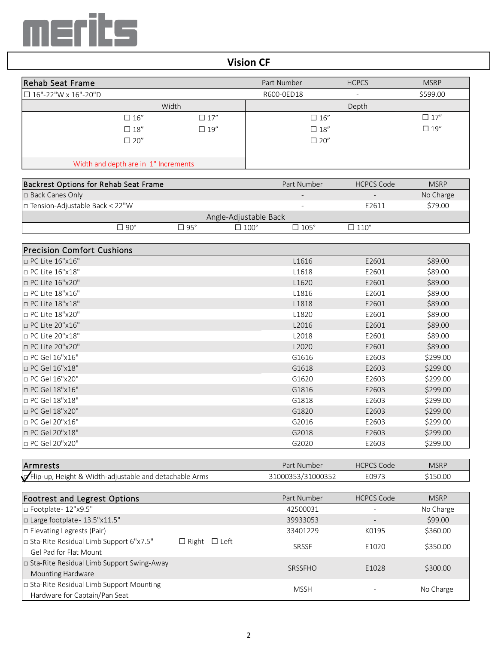

## **Vision CF**

| Rehab Seat Frame                      |            | Part Number   | <b>HCPCS</b>      | <b>MSRP</b> |
|---------------------------------------|------------|---------------|-------------------|-------------|
| $\Box$ 16"-22"W x 16"-20"D            |            | R600-0ED18    |                   | \$599.00    |
| Width                                 |            |               | Depth             |             |
| $\square$ 16"                         | $\Box$ 17" | $\square$ 16" |                   | $\Box$ 17"  |
| $\square$ 18"                         | $\Box$ 19" | $\square$ 18" |                   | $\Box$ 19"  |
| $\square$ 20"                         |            | $\square$ 20" |                   |             |
| Width and depth are in 1" Increments  |            |               |                   |             |
| Backrest Options for Rehab Seat Frame |            | Part Number   | <b>HCPCS Code</b> | <b>MSRP</b> |
| □ Back Canes Only                     |            |               |                   | No Charge   |
|                                       |            |               |                   |             |

|       | No Charge |
|-------|-----------|
| F2611 | \$79.00   |
|       |           |
| 110°⊓ |           |
|       |           |

| <b>Precision Comfort Cushions</b>                      |                   |                   |             |
|--------------------------------------------------------|-------------------|-------------------|-------------|
| □ PC Lite 16"x16"                                      | L1616             | E2601             | \$89.00     |
| □ PC Lite 16"x18"                                      | L1618             | E2601             | \$89.00     |
| □ PC Lite 16"x20"                                      | L1620             | E2601             | \$89.00     |
| $\Box$ PC Lite 18"x16"                                 | L1816             | E2601             | \$89.00     |
| □ PC Lite 18"x18"                                      | L1818             | E2601             | \$89.00     |
| $\Box$ PC Lite 18"x20"                                 | L1820             | E2601             | \$89.00     |
| □ PC Lite 20"x16"                                      | L2016             | E2601             | \$89.00     |
| □ PC Lite 20"x18"                                      | L2018             | E2601             | \$89.00     |
| $\Box$ PC Lite 20"x20"                                 | L2020             | E2601             | \$89.00     |
| □ PC Gel 16"x16"                                       | G1616             | E2603             | \$299.00    |
| □ PC Gel 16"x18"                                       | G1618             | E2603             | \$299.00    |
| □ PC Gel 16"x20"                                       | G1620             | E2603             | \$299.00    |
| □ PC Gel 18"x16"                                       | G1816             | E2603             | \$299.00    |
| □ PC Gel 18"x18"                                       | G1818             | E2603             | \$299.00    |
| □ PC Gel 18"x20"                                       | G1820             | E2603             | \$299.00    |
| □ PC Gel 20"x16"                                       | G2016             | E2603             | \$299.00    |
| □ PC Gel 20"x18"                                       | G2018             | E2603             | \$299.00    |
| □ PC Gel 20"x20"                                       | G2020             | E2603             | \$299.00    |
|                                                        |                   |                   |             |
| Armrests                                               | Part Number       | <b>HCPCS Code</b> | <b>MSRP</b> |
| Flip-up, Height & Width-adjustable and detachable Arms | 31000353/31000352 | E0973             | \$150.00    |

| □ PC Gel 20"x18"                                       | G2018             | E2603             | \$299.00    |
|--------------------------------------------------------|-------------------|-------------------|-------------|
| □ PC Gel 20"x20"                                       | G2020             | E2603             | \$299.00    |
|                                                        |                   |                   |             |
| <b>Armrests</b>                                        | Part Number       | <b>HCPCS Code</b> | <b>MSRP</b> |
| Flip-up, Height & Width-adjustable and detachable Arms | 31000353/31000352 | E0973             | \$150.00    |
|                                                        |                   |                   |             |
|                                                        |                   |                   |             |

| lArmrests                                                                  |                             | Part Number       | <b>HCPCS Code</b> | <b>MSRP</b> |
|----------------------------------------------------------------------------|-----------------------------|-------------------|-------------------|-------------|
| Flip-up, Height & Width-adjustable and detachable Arms                     |                             | 31000353/31000352 | E0973             | \$150.00    |
|                                                                            |                             |                   |                   |             |
| <b>Footrest and Legrest Options</b>                                        |                             | Part Number       | <b>HCPCS Code</b> | <b>MSRP</b> |
| □ Footplate - 12"x9.5"                                                     |                             | 42500031          |                   | No Charge   |
| □ Large footplate - 13.5"x11.5"                                            |                             | 39933053          |                   | \$99.00     |
| $\Box$ Elevating Legrests (Pair)                                           |                             | 33401229          | K0195             | \$360.00    |
| □ Sta-Rite Residual Limb Support 6"x7.5"<br>Gel Pad for Flat Mount         | $\Box$ Left<br>$\Box$ Right | <b>SRSSF</b>      | E1020             | \$350.00    |
| □ Sta-Rite Residual Limb Support Swing-Away<br>Mounting Hardware           |                             | SRSSFHO           | E1028             | \$300.00    |
| □ Sta-Rite Residual Limb Support Mounting<br>Hardware for Captain/Pan Seat |                             | <b>MSSH</b>       |                   | No Charge   |